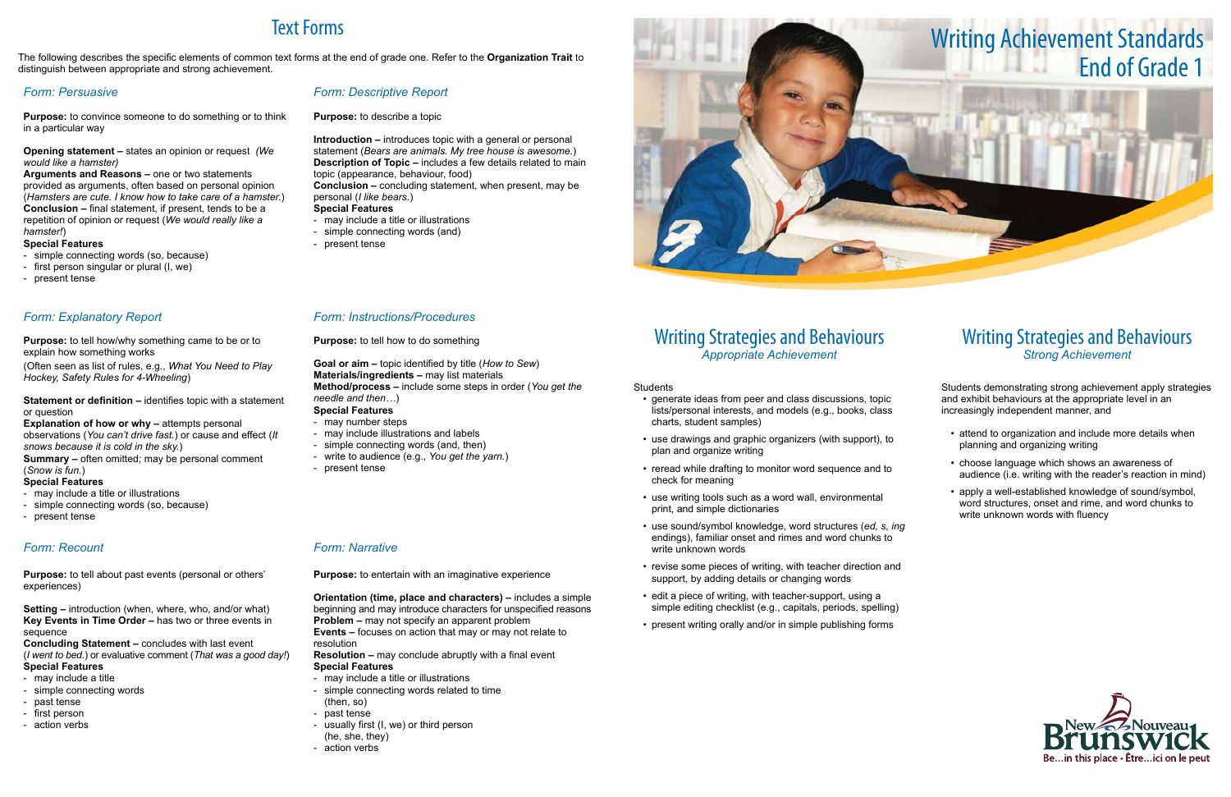## Writing Strategies and Behaviours *Appropriate Achievement*

**Students** 

- generate ideas from peer and class discussions, topic lists/personal interests, and models (e.g., books, class charts, student samples)
- • use drawings and graphic organizers (with support), to plan and organize writing
- reread while drafting to monitor word sequence and to check for meaning
- use writing tools such as a word wall, environmental print, and simple dictionaries
- • use sound/symbol knowledge, word structures (*ed, s, ing*  endings), familiar onset and rimes and word chunks to write unknown words
- revise some pieces of writing, with teacher direction and support, by adding details or changing words
- edit a piece of writing, with teacher-support, using a simple editing checklist (e.g., capitals, periods, spelling)
- present writing orally and/or in simple publishing forms

- attend to organization and include more details when planning and organizing writing
- choose language which shows an awareness of audience (i.e. writing with the reader's reaction in mind)
- apply a well-established knowledge of sound/symbol, word structures, onset and rime, and word chunks to write unknown words with fluency



## Writing Strategies and Behaviours *Strong Achievement*

Students demonstrating strong achievement apply strategies and exhibit behaviours at the appropriate level in an increasingly independent manner, and

# Text Forms

### **Statement or definition – identifies topic with a statement** or question

The following describes the specific elements of common text forms at the end of grade one. Refer to the **Organization Trait** to distinguish between appropriate and strong achievement.

**Explanation of how or why – attempts personal** observations (*You can't drive fast.*) or cause and effect (*It snows because it is cold in the sky.*)

## *Form: Persuasive*

**Purpose:** to convince someone to do something or to think in a particular way

### **Opening statement –** states an opinion or request *(We would like a hamster)*

**Arguments and Reasons –** one or two statements provided as arguments, often based on personal opinion (*Hamsters are cute. I know how to take care of a hamster.*) **Conclusion –** final statement, if present, tends to be a repetition of opinion or request (*We would really like a hamster!*)

### **Special Features**

- simple connecting words (so, because)
- first person singular or plural (I, we)
- present tense

## *Form: Descriptive Report*

**Purpose:** to describe a topic

**Introduction –** introduces topic with a general or personal statement (*Bears are animals. My tree house is awesome.*) **Description of Topic –** includes a few details related to main topic (appearance, behaviour, food)

**Conclusion –** concluding statement, when present, may be personal (*I like bears.*)

### **Special Features**

- may include a title or illustrations
- simple connecting words (and)
- present tense

## *Form: Explanatory Report*

**Purpose:** to tell how/why something came to be or to explain how something works

(Often seen as list of rules, e.g., *What You Need to Play Hockey, Safety Rules for 4-Wheeling*)

**Summary –** often omitted; may be personal comment (*Snow is fun.*)

## **Special Features**

- may include a title or illustrations
- simple connecting words (so, because)
- present tense

## *Form: Instructions/Procedures*

**Purpose:** to tell how to do something

**Goal or aim –** topic identified by title (*How to Sew*) **Materials/ingredients –** may list materials **Method/process –** include some steps in order (*You get the needle and then…*) **Special Features**

## - may number steps

- may include illustrations and labels
- simple connecting words (and, then)
- write to audience (e.g., *You get the yarn.*)
- present tense

## *Form: Recount*

**Purpose:** to tell about past events (personal or others' experiences)

**Setting –** introduction (when, where, who, and/or what) **Key Events in Time Order –** has two or three events in sequence

**Concluding Statement –** concludes with last event (*I went to bed.*) or evaluative comment (*That was a good day!*) **Special Features**

## - may include a title

- simple connecting words
- past tense
- first person
- action verbs

## *Form: Narrative*

**Purpose:** to entertain with an imaginative experience

**Orientation (time, place and characters) –** includes a simple beginning and may introduce characters for unspecified reasons **Problem –** may not specify an apparent problem

**Events –** focuses on action that may or may not relate to resolution

**Resolution –** may conclude abruptly with a final event **Special Features**

- may include a title or illustrations
- simple connecting words related to time (then, so)
- past tense
- usually first (I, we) or third person
- (he, she, they)
- action verbs